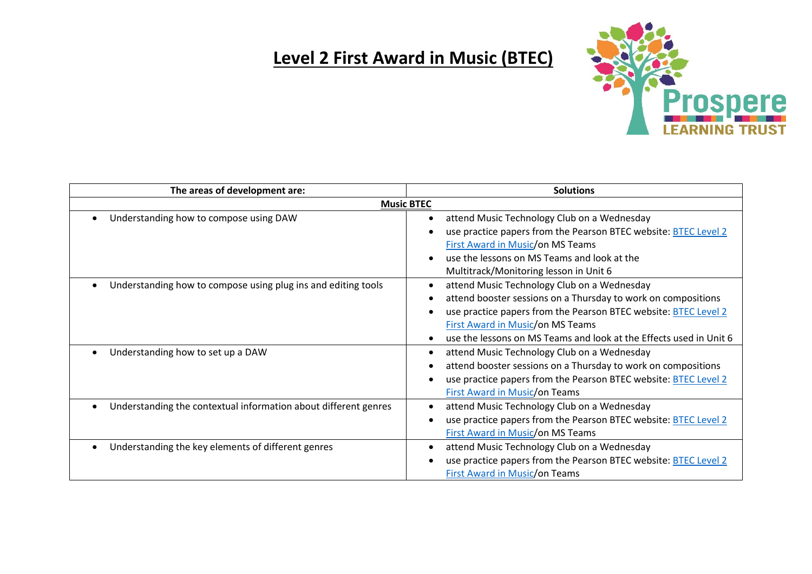## **Level 2 First Award in Music (BTEC)**



| The areas of development are:                                   | <b>Solutions</b>                                                                                                                                                                                                                                                                                 |
|-----------------------------------------------------------------|--------------------------------------------------------------------------------------------------------------------------------------------------------------------------------------------------------------------------------------------------------------------------------------------------|
| <b>Music BTEC</b>                                               |                                                                                                                                                                                                                                                                                                  |
| Understanding how to compose using DAW                          | attend Music Technology Club on a Wednesday<br>$\bullet$<br>use practice papers from the Pearson BTEC website: BTEC Level 2<br>First Award in Music/on MS Teams<br>use the lessons on MS Teams and look at the<br>Multitrack/Monitoring lesson in Unit 6                                         |
| Understanding how to compose using plug ins and editing tools   | attend Music Technology Club on a Wednesday<br>attend booster sessions on a Thursday to work on compositions<br>use practice papers from the Pearson BTEC website: BTEC Level 2<br><b>First Award in Music/on MS Teams</b><br>use the lessons on MS Teams and look at the Effects used in Unit 6 |
| Understanding how to set up a DAW                               | attend Music Technology Club on a Wednesday<br>attend booster sessions on a Thursday to work on compositions<br>use practice papers from the Pearson BTEC website: BTEC Level 2<br><b>First Award in Music/on Teams</b>                                                                          |
| Understanding the contextual information about different genres | attend Music Technology Club on a Wednesday<br>use practice papers from the Pearson BTEC website: BTEC Level 2<br><b>First Award in Music/on MS Teams</b>                                                                                                                                        |
| Understanding the key elements of different genres              | attend Music Technology Club on a Wednesday<br>use practice papers from the Pearson BTEC website: BTEC Level 2<br><b>First Award in Music/on Teams</b>                                                                                                                                           |